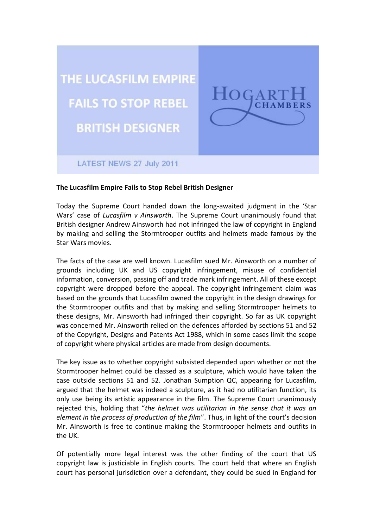

## **The Lucasfilm Empire Fails to Stop Rebel British Designer**

Today the Supreme Court handed down the long-awaited judgment in the 'Star Wars' case of *Lucasfilm v Ainsworth*. The Supreme Court unanimously found that British designer Andrew Ainsworth had not infringed the law of copyright in England by making and selling the Stormtrooper outfits and helmets made famous by the Star Wars movies.

The facts of the case are well known. Lucasfilm sued Mr. Ainsworth on a number of grounds including UK and US copyright infringement, misuse of confidential information, conversion, passing off and trade mark infringement. All of these except copyright were dropped before the appeal. The copyright infringement claim was based on the grounds that Lucasfilm owned the copyright in the design drawings for the Stormtrooper outfits and that by making and selling Stormtrooper helmets to these designs, Mr. Ainsworth had infringed their copyright. So far as UK copyright was concerned Mr. Ainsworth relied on the defences afforded by sections 51 and 52 of the Copyright, Designs and Patents Act 1988, which in some cases limit the scope of copyright where physical articles are made from design documents.

The key issue as to whether copyright subsisted depended upon whether or not the Stormtrooper helmet could be classed as a sculpture, which would have taken the case outside sections 51 and 52. Jonathan Sumption QC, appearing for Lucasfilm, argued that the helmet was indeed a sculpture, as it had no utilitarian function, its only use being its artistic appearance in the film. The Supreme Court unanimously rejected this, holding that "*the helmet was utilitarian in the sense that it was an element in the process of production of the film*". Thus, in light of the court's decision Mr. Ainsworth is free to continue making the Stormtrooper helmets and outfits in the UK.

Of potentially more legal interest was the other finding of the court that US copyright law is justiciable in English courts. The court held that where an English court has personal jurisdiction over a defendant, they could be sued in England for